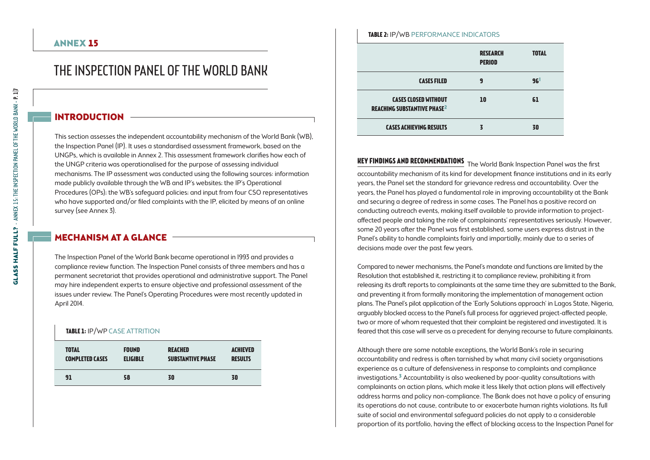# THE INSPECTION PANEL OF THE WORLD BANK

## INTRODUCTION

This section assesses the independent accountability mechanism of the World Bank (WB), the Inspection Panel (IP). It uses a standardised assessment framework, based on the UNGPs, which is available in Annex 2. This assessment framework clarifies how each of the UNGP criteria was operationalised for the purpose of assessing individual mechanisms. The IP assessment was conducted using the following sources: information made publicly available through the WB and IP's websites; the IP's Operational Procedures (OPs); the WB's safeguard policies; and input from four CSO representatives who have supported and/or filed complaints with the IP, elicited by means of an online survey (see Annex 3).

## Mechanism at a glance

The Inspection Panel of the World Bank became operational in 1993 and provides a compliance review function. The Inspection Panel consists of three members and has a permanent secretariat that provides operational and administrative support. The Panel may hire independent experts to ensure objective and professional assessment of the issues under review. The Panel's Operating Procedures were most recently updated in April 2014.

#### **TABLE 1: IP/WP CASE ATTRITION**

| <b>TOTAL</b>           | <b>FOUND</b>    | <b>REACHED</b>           | <b>ACHIEVED</b> |
|------------------------|-----------------|--------------------------|-----------------|
| <b>COMPLETED CASES</b> | <b>ELIGIBLE</b> | <b>SUBSTANTIVE PHASE</b> | <b>RESULTS</b>  |
| 91                     | 58              | 30                       | 30              |

#### **Table 2:** IP/WB Performance indicators

|                                                                              | <b>RESEARCH</b><br><b>PERIOD</b> | <b>TOTAL</b> |
|------------------------------------------------------------------------------|----------------------------------|--------------|
| <b>CASES FILED</b>                                                           | 9                                | 96'          |
| <b>CASES CLOSED WITHOUT</b><br><b>REACHING SUBSTANTIVE PHASE<sup>2</sup></b> | 10                               | 61           |
| <b>CASES ACHIEVING RESULTS</b>                                               |                                  | 30           |

**Key findings and recommendations** The World Bank Inspection Panel was the first accountability mechanism of its kind for development finance institutions and in its early years, the Panel set the standard for grievance redress and accountability. Over the years, the Panel has played a fundamental role in improving accountability at the Bank and securing a degree of redress in some cases. The Panel has a positive record on conducting outreach events, making itself available to provide information to projectaffected people and taking the role of complainants' representatives seriously. However, some 20 years after the Panel was first established, some users express distrust in the Panel's ability to handle complaints fairly and impartially, mainly due to a series of decisions made over the past few years.

Compared to newer mechanisms, the Panel's mandate and functions are limited by the Resolution that established it, restricting it to compliance review, prohibiting it from releasing its draft reports to complainants at the same time they are submitted to the Bank, and preventing it from formally monitoring the implementation of management action plans. The Panel's pilot application of the 'Early Solutions approach' in Lagos State, Nigeria, arguably blocked access to the Panel's full process for aggrieved project-affected people, two or more of whom requested that their complaint be registered and investigated. It is feared that this case will serve as a precedent for denying recourse to future complainants.

Although there are some notable exceptions, the World Bank's role in securing accountability and redress is often tarnished by what many civil society organisations experience as a culture of defensiveness in response to complaints and compliance investigations.3 Accountability is also weakened by poor-quality consultations with complainants on action plans, which make it less likely that action plans will effectively address harms and policy non-compliance. The Bank does not have a policy of ensuring its operations do not cause, contribute to or exacerbate human rights violations. Its full suite of social and environmental safeguard policies do not apply to a considerable proportion of its portfolio, having the effect of blocking access to the Inspection Panel for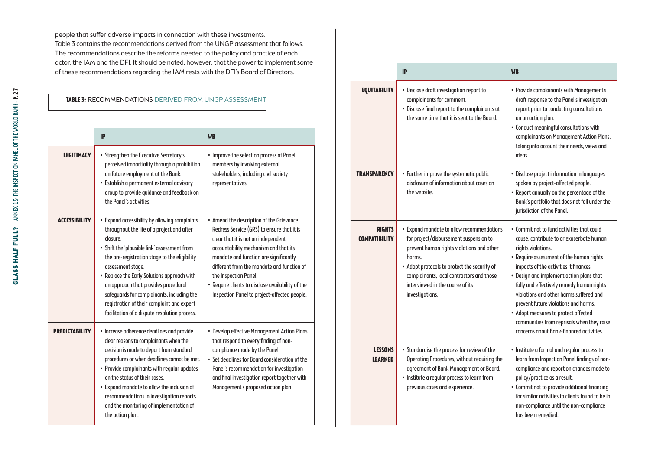people that suffer adverse impacts in connection with these investments. Table 3 contains the recommendations derived from the UNGP assessment that follows. The recommendations describe the reforms needed to the policy and practice of each actor, the IAM and the DFI. It should be noted, however, that the power to implement some of these recommendations regarding the IAM rests with the DFI's Board of Directors.

### **Table 3:** Recommendations derived from UNGP assessment

|                       | <b>IP</b>                                                                                                                                                                                                                                                                                                                                                                                                                                                         | <b>WB</b>                                                                                                                                                                                                                                                                                                                                                                                    |
|-----------------------|-------------------------------------------------------------------------------------------------------------------------------------------------------------------------------------------------------------------------------------------------------------------------------------------------------------------------------------------------------------------------------------------------------------------------------------------------------------------|----------------------------------------------------------------------------------------------------------------------------------------------------------------------------------------------------------------------------------------------------------------------------------------------------------------------------------------------------------------------------------------------|
| <b>LEGITIMACY</b>     | • Strengthen the Executive Secretary's<br>perceived impartiality through a prohibition<br>on future employment at the Bank.<br>· Establish a permanent external advisory<br>group to provide quidance and feedback on<br>the Panel's activities.                                                                                                                                                                                                                  | • Improve the selection process of Panel<br>members by involving external<br>stakeholders, including civil society<br>representatives.                                                                                                                                                                                                                                                       |
| <b>ACCESSIBILITY</b>  | • Expand accessibility by allowing complaints<br>throughout the life of a project and after<br>closure.<br>• Shift the 'plausible link' assessment from<br>the pre-registration stage to the eligibility<br>assessment stage.<br>• Replace the Early Solutions approach with<br>an approach that provides procedural<br>safeguards for complainants, including the<br>registration of their complaint and expert<br>facilitation of a dispute resolution process. | • Amend the description of the Grievance<br>Redress Service (GRS) to ensure that it is<br>clear that it is not an independent<br>accountability mechanism and that its<br>mandate and function are significantly<br>different from the mandate and function of<br>the Inspection Panel.<br>• Require clients to disclose availability of the<br>Inspection Panel to project-affected people. |
| <b>PREDICTABILITY</b> | • Increase adherence deadlines and provide<br>clear reasons to complainants when the<br>decision is made to depart from standard<br>procedures or when deadlines cannot be met.<br>• Provide complainants with regular updates<br>on the status of their cases.<br>• Expand mandate to allow the inclusion of<br>recommendations in investigation reports<br>and the monitoring of implementation of<br>the action plan.                                          | • Develop effective Management Action Plans<br>that respond to every finding of non-<br>compliance made by the Panel.<br>. Set deadlines for Board consideration of the<br>Panel's recommendation for investigation<br>and final investigation report together with<br>Management's proposed action plan.                                                                                    |

|                                       | IP                                                                                                                                                                                                                                                                                             | <b>WB</b>                                                                                                                                                                                                                                                                                                                                                                                                                                                                                                        |
|---------------------------------------|------------------------------------------------------------------------------------------------------------------------------------------------------------------------------------------------------------------------------------------------------------------------------------------------|------------------------------------------------------------------------------------------------------------------------------------------------------------------------------------------------------------------------------------------------------------------------------------------------------------------------------------------------------------------------------------------------------------------------------------------------------------------------------------------------------------------|
| <b>EQUITABILITY</b>                   | · Disclose draft investigation report to<br>complainants for comment.<br>• Disclose final report to the complainants at<br>the same time that it is sent to the Board.                                                                                                                         | • Provide complainants with Management's<br>draft response to the Panel's investigation<br>report prior to conducting consultations<br>on an action plan.<br>• Conduct meaningful consultations with<br>complainants on Management Action Plans,<br>taking into account their needs, views and<br>ideas.                                                                                                                                                                                                         |
| <b>TRANSPARENCY</b>                   | • Further improve the systematic public<br>disclosure of information about cases on<br>the website.                                                                                                                                                                                            | · Disclose project information in languages<br>spoken by project-affected people.<br>• Report annually on the percentage of the<br>Bank's portfolio that does not fall under the<br>jurisdiction of the Panel.                                                                                                                                                                                                                                                                                                   |
| <b>RIGHTS</b><br><b>COMPATIBILITY</b> | • Expand mandate to allow recommendations<br>for project/disbursement suspension to<br>prevent human rights violations and other<br>harms.<br>• Adopt protocols to protect the security of<br>complainants, local contractors and those<br>interviewed in the course of its<br>investigations. | . Commit not to fund activities that could<br>cause, contribute to or exacerbate human<br>rights violations.<br>• Require assessment of the human rights<br>impacts of the activities it finances.<br>. Design and implement action plans that<br>fully and effectively remedy human rights<br>violations and other harms suffered and<br>prevent future violations and harms.<br>• Adopt measures to protect affected<br>communities from reprisals when they raise<br>concerns about Bank-financed activities. |
| <b>LESSONS</b><br><b>LEARNED</b>      | • Standardise the process for review of the<br>Operating Procedures, without requiring the<br>agreement of Bank Management or Board.<br>· Institute a regular process to learn from<br>previous cases and experience.                                                                          | • Institute a formal and regular process to<br>learn from Inspection Panel findings of non-<br>compliance and report on changes made to<br>policy/practice as a result.<br>• Commit not to provide additional financing<br>for similar activities to clients found to be in<br>non-compliance until the non-compliance<br>has been remedied.                                                                                                                                                                     |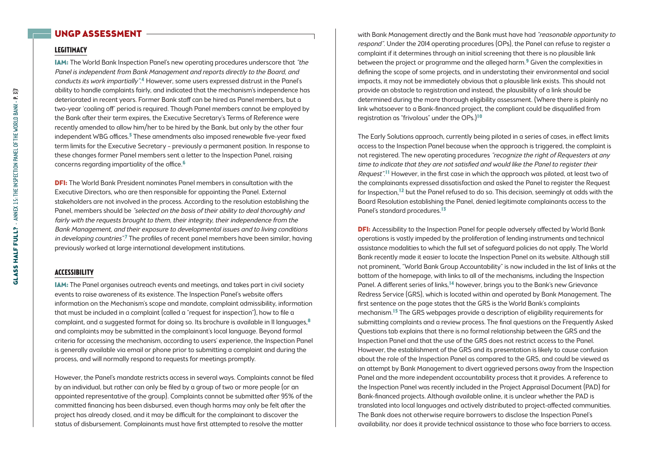## UNGP Assessment

## **Legitimacy**

IAM: The World Bank Inspection Panel's new operating procedures underscore that "the Panel is independent from Bank Management and reports directly to the Board, and conducts its work impartially".4 However, some users expressed distrust in the Panel's ability to handle complaints fairly, and indicated that the mechanism's independence has deteriorated in recent years. Former Bank staff can be hired as Panel members, but a two-year 'cooling off' period is required. Though Panel members cannot be employed by the Bank after their term expires, the Executive Secretary's Terms of Reference were recently amended to allow him/her to be hired by the Bank, but only by the other four independent WBG offices.<sup>5</sup> These amendments also imposed renewable five-year fixed term limits for the Executive Secretary – previously a permanent position. In response to these changes former Panel members sent a letter to the Inspection Panel, raising concerns regarding impartiality of the office.6

DFI: The World Bank President nominates Panel members in consultation with the Executive Directors, who are then responsible for appointing the Panel. External stakeholders are not involved in the process. According to the resolution establishing the Panel, members should be "selected on the basis of their ability to deal thoroughly and fairly with the requests brought to them, their integrity, their independence from the Bank Management, and their exposure to developmental issues and to living conditions in developing countries".<sup>7</sup> The profiles of recent panel members have been similar, having previously worked at large international development institutions.

#### **Accessibility**

IAM: The Panel organises outreach events and meetings, and takes part in civil society events to raise awareness of its existence. The Inspection Panel's website offers information on the Mechanism's scope and mandate, complaint admissibility, information that must be included in a complaint (called a "request for inspection"), how to file a complaint, and a suggested format for doing so. Its brochure is available in II languages, $8$ and complaints may be submitted in the complainant's local language. Beyond formal criteria for accessing the mechanism, according to users' experience, the Inspection Panel is generally available via email or phone prior to submitting a complaint and during the process, and will normally respond to requests for meetings promptly.

However, the Panel's mandate restricts access in several ways. Complaints cannot be filed by an individual, but rather can only be filed by a group of two or more people (or an appointed representative of the group). Complaints cannot be submitted after 95% of the committed financing has been disbursed, even though harms may only be felt after the project has already closed, and it may be difficult for the complainant to discover the status of disbursement. Complainants must have first attempted to resolve the matter

with Bank Management directly and the Bank must have had "reasonable opportunity to respond". Under the 2014 operating procedures (OPs), the Panel can refuse to register a complaint if it determines through an initial screening that there is no plausible link between the project or programme and the alleged harm.<sup>9</sup> Given the complexities in defining the scope of some projects, and in understating their environmental and social impacts, it may not be immediately obvious that a plausible link exists. This should not provide an obstacle to registration and instead, the plausibility of a link should be determined during the more thorough eligibility assessment. (Where there is plainly no link whatsoever to a Bank-financed project, the compliant could be disqualified from registration as "frivolous" under the OPs.)10

The Early Solutions approach, currently being piloted in a series of cases, in effect limits access to the Inspection Panel because when the approach is triggered, the complaint is not registered. The new operating procedures "recognize the right of Requesters at any time to indicate that they are not satisfied and would like the Panel to register their Request".<sup>11</sup> However, in the first case in which the approach was piloted, at least two of the complainants expressed dissatisfaction and asked the Panel to register the Request for Inspection,<sup>12</sup> but the Panel refused to do so. This decision, seemingly at odds with the Board Resolution establishing the Panel, denied legitimate complainants access to the Panel's standard procedures.<sup>13</sup>

**DFI:** Accessibility to the Inspection Panel for people adversely affected by World Bank operations is vastly impeded by the proliferation of lending instruments and technical assistance modalities to which the full set of safeguard policies do not apply. The World Bank recently made it easier to locate the Inspection Panel on its website. Although still not prominent, "World Bank Group Accountability" is now included in the list of links at the bottom of the homepage, with links to all of the mechanisms, including the Inspection Panel. A different series of links,<sup>14</sup> however, brings you to the Bank's new Grievance Redress Service (GRS), which is located within and operated by Bank Management. The first sentence on the page states that the GRS is the World Bank's complaints mechanism.15 The GRS webpages provide a description of eligibility requirements for submitting complaints and a review process. The final questions on the Frequently Asked Questions tab explains that there is no formal relationship between the GRS and the Inspection Panel and that the use of the GRS does not restrict access to the Panel. However, the establishment of the GRS and its presentation is likely to cause confusion about the role of the Inspection Panel as compared to the GRS, and could be viewed as an attempt by Bank Management to divert aggrieved persons away from the Inspection Panel and the more independent accountability process that it provides. A reference to the Inspection Panel was recently included in the Project Appraisal Document (PAD) for Bank-financed projects. Although available online, it is unclear whether the PAD is translated into local languages and actively distributed to project-affected communities. The Bank does not otherwise require borrowers to disclose the Inspection Panel's availability, nor does it provide technical assistance to those who face barriers to access.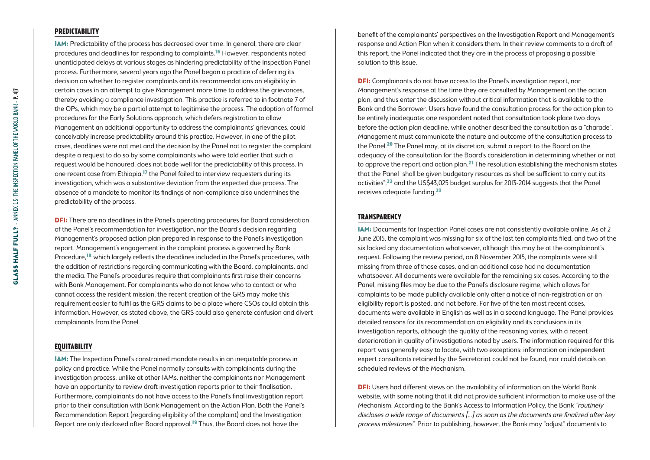#### **Predictability**

IAM: Predictability of the process has decreased over time. In general, there are clear procedures and deadlines for responding to complaints.16 However, respondents noted unanticipated delays at various stages as hindering predictability of the Inspection Panel process. Furthermore, several years ago the Panel began a practice of deferring its decision on whether to register complaints and its recommendations on eligibility in certain cases in an attempt to give Management more time to address the grievances, thereby avoiding a compliance investigation. This practice is referred to in footnote 7 of the OPs, which may be a partial attempt to legitimise the process. The adoption of formal procedures for the Early Solutions approach, which defers registration to allow Management an additional opportunity to address the complainants' grievances, could conceivably increase predictability around this practice. However, in one of the pilot cases, deadlines were not met and the decision by the Panel not to register the complaint despite a request to do so by some complainants who were told earlier that such a request would be honoured, does not bode well for the predictability of this process. In one recent case from Ethiopia,17 the Panel failed to interview requesters during its investigation, which was a substantive deviation from the expected due process. The absence of a mandate to monitor its findings of non-compliance also undermines the predictability of the process.

**DFI:** There are no deadlines in the Panel's operating procedures for Board consideration of the Panel's recommendation for investigation, nor the Board's decision regarding Management's proposed action plan prepared in response to the Panel's investigation report. Management's engagement in the complaint process is governed by Bank Procedure,18 which largely reflects the deadlines included in the Panel's procedures, with the addition of restrictions regarding communicating with the Board, complainants, and the media. The Panel's procedures require that complainants first raise their concerns with Bank Management. For complainants who do not know who to contact or who cannot access the resident mission, the recent creation of the GRS may make this requirement easier to fulfil as the GRS claims to be a place where CSOs could obtain this information. However, as stated above, the GRS could also generate confusion and divert complainants from the Panel.

#### **Equitability**

IAM: The Inspection Panel's constrained mandate results in an inequitable process in policy and practice. While the Panel normally consults with complainants during the investigation process, unlike at other IAMs, neither the complainants nor Management have an opportunity to review draft investigation reports prior to their finalisation. Furthermore, complainants do not have access to the Panel's final investigation report prior to their consultation with Bank Management on the Action Plan. Both the Panel's Recommendation Report (regarding eligibility of the complaint) and the Investigation Report are only disclosed after Board approval.19 Thus, the Board does not have the

benefit of the complainants' perspectives on the Investigation Report and Management's response and Action Plan when it considers them. In their review comments to a draft of this report, the Panel indicated that they are in the process of proposing a possible solution to this issue.

**DFI:** Complainants do not have access to the Panel's investigation report, nor Management's response at the time they are consulted by Management on the action plan, and thus enter the discussion without critical information that is available to the Bank and the Borrower. Users have found the consultation process for the action plan to be entirely inadequate; one respondent noted that consultation took place two days before the action plan deadline, while another described the consultation as a "charade". Management must communicate the nature and outcome of the consultation process to the Panel.<sup>20</sup> The Panel may, at its discretion, submit a report to the Board on the adequacy of the consultation for the Board's consideration in determining whether or not to approve the report and action plan.<sup>21</sup> The resolution establishing the mechanism states that the Panel "shall be given budgetary resources as shall be sufficient to carry out its activities",22 and the US\$43,025 budget surplus for 2013-2014 suggests that the Panel receives adequate funding.23

#### **Transparency**

IAM: Documents for Inspection Panel cases are not consistently available online. As of 2 June 2015, the complaint was missing for six of the last ten complaints filed, and two of the six lacked any documentation whatsoever, although this may be at the complainant's request. Following the review period, on 8 November 2015, the complaints were still missing from three of those cases, and an additional case had no documentation whatsoever. All documents were available for the remaining six cases. According to the Panel, missing files may be due to the Panel's disclosure regime, which allows for complaints to be made publicly available only after a notice of non-registration or an eligibility report is posted, and not before. For five of the ten most recent cases, documents were available in English as well as in a second language. The Panel provides detailed reasons for its recommendation on eligibility and its conclusions in its investigation reports, although the quality of the reasoning varies, with a recent deterioration in quality of investigations noted by users. The information required for this report was generally easy to locate, with two exceptions: information on independent expert consultants retained by the Secretariat could not be found, nor could details on scheduled reviews of the Mechanism.

DFI: Users had different views on the availability of information on the World Bank website, with some noting that it did not provide sufficient information to make use of the Mechanism. According to the Bank's Access to Information Policy, the Bank "routinely discloses a wide range of documents […] as soon as the documents are finalized after key process milestones". Prior to publishing, however, the Bank may "adjust" documents to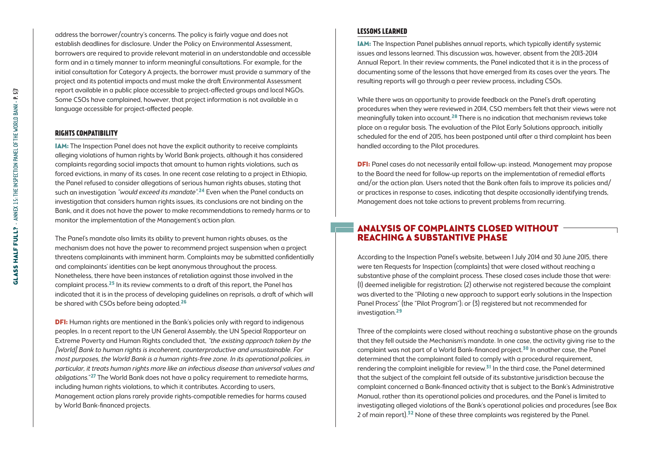address the borrower/country's concerns. The policy is fairly vague and does not establish deadlines for disclosure. Under the Policy on Environmental Assessment, borrowers are required to provide relevant material in an understandable and accessible form and in a timely manner to inform meaningful consultations. For example, for the initial consultation for Category A projects, the borrower must provide a summary of the project and its potential impacts and must make the draft Environmental Assessment report available in a public place accessible to project-affected groups and local NGOs. Some CSOs have complained, however, that project information is not available in a language accessible for project-affected people.

#### **Rights compatibility**

IAM: The Inspection Panel does not have the explicit authority to receive complaints alleging violations of human rights by World Bank projects, although it has considered complaints regarding social impacts that amount to human rights violations, such as forced evictions, in many of its cases. In one recent case relating to a project in Ethiopia, the Panel refused to consider allegations of serious human rights abuses, stating that such an investigation "would exceed its mandate".<sup>24</sup> Even when the Panel conducts an investigation that considers human rights issues, its conclusions are not binding on the Bank, and it does not have the power to make recommendations to remedy harms or to monitor the implementation of the Management's action plan.

The Panel's mandate also limits its ability to prevent human rights abuses, as the mechanism does not have the power to recommend project suspension when a project threatens complainants with imminent harm. Complaints may be submitted confidentially and complainants' identities can be kept anonymous throughout the process. Nonetheless, there have been instances of retaliation against those involved in the complaint process.25 In its review comments to a draft of this report, the Panel has indicated that it is in the process of developing guidelines on reprisals, a draft of which will be shared with CSOs before being adopted.<sup>26</sup>

**DFI:** Human rights are mentioned in the Bank's policies only with regard to indigenous peoples. In a recent report to the UN General Assembly, the UN Special Rapporteur on Extreme Poverty and Human Rights concluded that, "the existing approach taken by the [World] Bank to human rights is incoherent, counterproductive and unsustainable. For most purposes, the World Bank is a human rights-free zone. In its operational policies, in particular, it treats human rights more like an infectious disease than universal values and *obligations.*"<sup>27</sup> The World Bank does not have a policy requirement to remediate harms, including human rights violations, to which it contributes. According to users, Management action plans rarely provide rights-compatible remedies for harms caused by World Bank-financed projects.

#### **Lessons learned**

IAM: The Inspection Panel publishes annual reports, which typically identify systemic issues and lessons learned. This discussion was, however, absent from the 2013-2014 Annual Report. In their review comments, the Panel indicated that it is in the process of documenting some of the lessons that have emerged from its cases over the years. The resulting reports will go through a peer review process, including CSOs.

While there was an opportunity to provide feedback on the Panel's draft operating procedures when they were reviewed in 2014, CSO members felt that their views were not meaningfully taken into account.<sup>28</sup> There is no indication that mechanism reviews take place on a regular basis. The evaluation of the Pilot Early Solutions approach, initially scheduled for the end of 2015, has been postponed until after a third complaint has been handled according to the Pilot procedures.

DFI: Panel cases do not necessarily entail follow-up; instead, Management may propose to the Board the need for follow-up reports on the implementation of remedial efforts and/or the action plan. Users noted that the Bank often fails to improve its policies and/ or practices in response to cases, indicating that despite occasionally identifying trends, Management does not take actions to prevent problems from recurring.

## Analysis of Complaints Closed without Reaching a Substantive Phase

According to the Inspection Panel's website, between 1 July 2014 and 30 June 2015, there were ten Requests for Inspection (complaints) that were closed without reaching a substantive phase of the complaint process. These closed cases include those that were: (1) deemed ineligible for registration; (2) otherwise not registered because the complaint was diverted to the "Piloting a new approach to support early solutions in the Inspection Panel Process" (the "Pilot Program"); or (3) registered but not recommended for investigation.29

Three of the complaints were closed without reaching a substantive phase on the grounds that they fell outside the Mechanism's mandate. In one case, the activity giving rise to the complaint was not part of a World Bank-financed project.30 In another case, the Panel determined that the complainant failed to comply with a procedural requirement, rendering the complaint ineligible for review. $31$  In the third case, the Panel determined that the subject of the complaint fell outside of its substantive jurisdiction because the complaint concerned a Bank-financed activity that is subject to the Bank's Administrative Manual, rather than its operational policies and procedures, and the Panel is limited to investigating alleged violations of the Bank's operational policies and procedures (see Box 2 of main report).<sup>32</sup> None of these three complaints was registered by the Panel.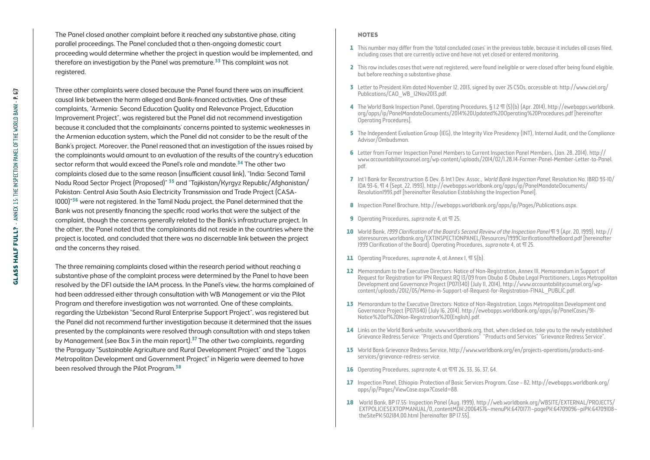The Panel closed another complaint before it reached any substantive phase, citing parallel proceedings. The Panel concluded that a then-ongoing domestic court proceeding would determine whether the project in question would be implemented, and therefore an investigation by the Panel was premature.<sup>33</sup> This complaint was not registered.

Three other complaints were closed because the Panel found there was an insufficient causal link between the harm alleged and Bank-financed activities. One of these complaints, "Armenia: Second Education Quality and Relevance Project, Education Improvement Project", was registered but the Panel did not recommend investigation because it concluded that the complainants' concerns pointed to systemic weaknesses in the Armenian education system, which the Panel did not consider to be the result of the Bank's project. Moreover, the Panel reasoned that an investigation of the issues raised by the complainants would amount to an evaluation of the results of the country's education sector reform that would exceed the Panel's role and mandate.<sup>34</sup> The other two complaints closed due to the same reason (insufficient causal link), "India: Second Tamil Nadu Road Sector Project (Proposed)" 35 and "Tajikistan/Kyrgyz Republic/Afghanistan/ Pakistan: Central Asia South Asia Electricity Transmission and Trade Project (CASA-1000)"36 were not registered. In the Tamil Nadu project, the Panel determined that the Bank was not presently financing the specific road works that were the subject of the complaint, though the concerns generally related to the Bank's infrastructure project. In the other, the Panel noted that the complainants did not reside in the countries where the project is located, and concluded that there was no discernable link between the project and the concerns they raised.

The three remaining complaints closed within the research period without reaching a substantive phase of the complaint process were determined by the Panel to have been resolved by the DFI outside the IAM process. In the Panel's view, the harms complained of had been addressed either through consultation with WB Management or via the Pilot Program and therefore investigation was not warranted. One of these complaints, regarding the Uzbekistan "Second Rural Enterprise Support Project", was registered but the Panel did not recommend further investigation because it determined that the issues presented by the complainants were resolved through consultation with and steps taken by Management (see Box 3 in the main report).<sup>37</sup> The other two complaints, regarding the Paraguay "Sustainable Agriculture and Rural Development Project" and the "Lagos Metropolitan Development and Government Project" in Nigeria were deemed to have been resolved through the Pilot Program.<sup>38</sup>

#### **NOTES**

- 1 This number may differ from the 'total concluded cases' in the previous table, because it includes all cases filed, including cases that are currently active and have not yet closed or entered monitoring.
- 2 This row includes cases that were not registered, were found ineligible or were closed after being found eligible, but before reaching a substantive phase.
- 3 Letter to President Kim dated November 12, 2013, signed by over 25 CSOs, accessible at: [http://www.ciel.org/](http://www.ciel.org/Publications/CAO_WB_12Nov2013.pdf) [Publications/CAO\\_WB\\_12Nov2013.pdf.](http://www.ciel.org/Publications/CAO_WB_12Nov2013.pdf)
- 4 The World Bank Inspection Panel, Operating Procedures, § 1.2 ¶ (5)(b) (Apr. 2014), [http://ewebapps.worldbank.](http://ewebapps.worldbank.org/apps/ip/PanelMandateDocuments/2014 Updated Operating Procedures.pdf) [org/apps/ip/PanelMandateDocuments/2014%20Updated%20Operating%20Procedures.pdf](http://ewebapps.worldbank.org/apps/ip/PanelMandateDocuments/2014 Updated Operating Procedures.pdf) [hereinafter Operating Procedures].
- 5 The Independent Evaluation Group (IEG), the Integrity Vice Presidency (INT), Internal Audit, and the Compliance Advisor/Ombudsman.
- 6 Letter from Former Inspection Panel Members to Current Inspection Panel Members, (Jan. 28, 2014), [http://](http://www.accountabilitycounsel.org/wp-content/uploads/2014/02/1.28.14-Former-Panel-Member-Letter-to-Panel.pdf) [www.accountabilitycounsel.org/wp-content/uploads/2014/02/1.28.14-Former-Panel-Member-Letter-to-Panel.](http://www.accountabilitycounsel.org/wp-content/uploads/2014/02/1.28.14-Former-Panel-Member-Letter-to-Panel.pdf) [pdf](http://www.accountabilitycounsel.org/wp-content/uploads/2014/02/1.28.14-Former-Panel-Member-Letter-to-Panel.pdf).
- 7 Int'l Bank for Reconstruction & Dev. & Int'l Dev. Assoc., World Bank Inspection Panel, Resolution No. IBRD 93-10/ IDA 93-6, ¶ 4 (Sept. 22, 1993), [http://ewebapps.worldbank.org/apps/ip/PanelMandateDocuments/](http://ewebapps.worldbank.org/apps/ip/PanelMandateDocuments/Resolution1993.pdf) [Resolution1993.pdf](http://ewebapps.worldbank.org/apps/ip/PanelMandateDocuments/Resolution1993.pdf) [hereinafter Resolution Establishing the Inspection Panel].
- 8 Inspection Panel Brochure, <http://ewebapps.worldbank.org/apps/ip/Pages/Publications.aspx>.
- 9 Operating Procedures, *supra* note 4, at TT 25.
- 10 World Bank, 1999 Clarification of the Board's Second Review of the Inspection Panel ¶ 9 (Apr. 20, 1999), [http://](http://siteresources.worldbank.org/EXTINSPECTIONPANEL/Resources/1999ClarificationoftheBoard.pdf) [siteresources.worldbank.org/EXTINSPECTIONPANEL/Resources/1999ClarificationoftheBoard.pdf](http://siteresources.worldbank.org/EXTINSPECTIONPANEL/Resources/1999ClarificationoftheBoard.pdf) [hereinafter 1999 Clarification of the Board]; Operating Procedures, supra note 4, at TT 25.
- 11 Operating Procedures, *supra* note 4, at Annex I, TT 5(b).
- 12 Memorandum to the Executive Directors: Notice of Non-Registration, Annex III, Memorandum in Support of Request for Registration for IPN Request RQ 13/09 from Obuba & Obuba Legal Practitioners, Lagos Metropolitan Development and Governance Project (P071340) (July 11, 2014), [http://www.accountabilitycounsel.org/wp](http://www.accountabilitycounsel.org/wp-content/uploads/2012/05/Memo-in-Support-of-Request-for-Registration-FINAL_PUBLIC.pdf)[content/uploads/2012/05/Memo-in-Support-of-Request-for-Registration-FINAL\\_PUBLIC.pdf.](http://www.accountabilitycounsel.org/wp-content/uploads/2012/05/Memo-in-Support-of-Request-for-Registration-FINAL_PUBLIC.pdf)
- 13 Memorandum to the Executive Directors: Notice of Non-Registration, Lagos Metropolitan Development and Governance Project (P071340) (July 16, 2014), [http://ewebapps.worldbank.org/apps/ip/PanelCases/91-](http://ewebapps.worldbank.org/apps/ip/PanelCases/91-Notice of Non-Registration (English).pdf) [Notice%20of%20Non-Registration%20\(English\).pdf.](http://ewebapps.worldbank.org/apps/ip/PanelCases/91-Notice of Non-Registration (English).pdf)
- 14 Links on the World Bank website, www.worldbank.org, that, when clicked on, take you to the newly established Grievance Redress Service: "Projects and Operations" "Products and Services" "Grievance Redress Service".
- 15 World Bank Grievance Redress Service, http://www.worldbank.org/en/projects-operations/products-andservices/grievance-redress-service.
- 16 Operating Procedures, *supra* note 4, at TIT 26, 33, 36, 37, 64.
- 17 Inspection Panel, Ethiopia: Protection of Basic Services Program, Case 82, [http://ewebapps.worldbank.org/](http://ewebapps.worldbank.org/apps/ip/Pages/ViewCase.aspx?CaseId=88) [apps/ip/Pages/ViewCase.aspx?CaseId=88.](http://ewebapps.worldbank.org/apps/ip/Pages/ViewCase.aspx?CaseId=88)
- 18 World Bank, BP 17.55: Inspection Panel (Aug. 1999), http://web.worldbank.org/WBSITE/EXTERNAL/PROJECTS/ EXTPOLICIES EXTOPMANUAL/0,,contentMDK:20064576~menuPK:64701771~pagePK:64709096~piPK:64709108~ theSitePK:502184,00.html [hereinafter BP 17.55].